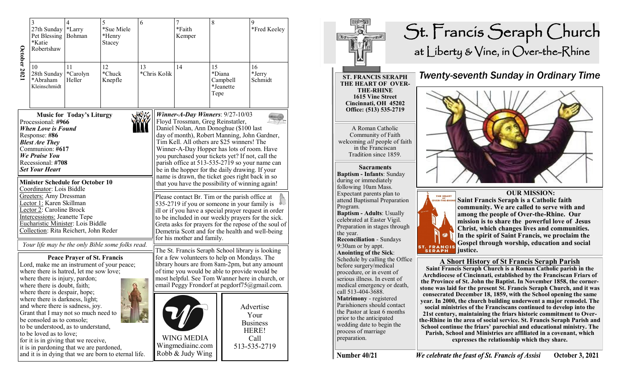| October 202                                      | 3<br>27th Sunday<br>Pet Blessing<br>*Katie<br>Robertshaw                                                                                                                                                                                                                                                                                                                                 | 5<br>4<br>*Larry<br>*Sue Miele<br>Bohman<br>*Henry<br>Stacey |                                                           | 6  |              | 7<br>*Faith<br>Kemper                                                 | 8                    |                       | 9<br>*Fred Keeley       |
|--------------------------------------------------|------------------------------------------------------------------------------------------------------------------------------------------------------------------------------------------------------------------------------------------------------------------------------------------------------------------------------------------------------------------------------------------|--------------------------------------------------------------|-----------------------------------------------------------|----|--------------|-----------------------------------------------------------------------|----------------------|-----------------------|-------------------------|
|                                                  | 10<br>28th Sunday<br>*Abraham<br>Kleinschmidt                                                                                                                                                                                                                                                                                                                                            | 11<br>*Carolyn<br>Heller                                     | 12<br>*Chuck<br>Knepfle                                   | 13 | *Chris Kolik | 14                                                                    | 15<br>*Diana<br>Tepe | Campbell<br>*Jeanette | 16<br>*Jerry<br>Schmidt |
| XV V.                                            |                                                                                                                                                                                                                                                                                                                                                                                          |                                                              |                                                           |    |              | Winner-A-Day Winners: $9/27-10/03$                                    |                      |                       |                         |
| <b>Music for Today's Liturgy</b>                 |                                                                                                                                                                                                                                                                                                                                                                                          |                                                              |                                                           |    |              | Floyd Trossman, Greg Reinstatler,                                     |                      |                       |                         |
| Processional: #966                               |                                                                                                                                                                                                                                                                                                                                                                                          |                                                              |                                                           |    |              | Daniel Nolan, Ann Donoghue (\$100 last                                |                      |                       |                         |
| <b>When Love is Found</b>                        |                                                                                                                                                                                                                                                                                                                                                                                          |                                                              |                                                           |    |              | day of month), Robert Manning, John Gardner,                          |                      |                       |                         |
| Response: #86                                    |                                                                                                                                                                                                                                                                                                                                                                                          |                                                              |                                                           |    |              | Tim Kell. All others are \$25 winners! The                            |                      |                       |                         |
| <b>Blest Are They</b>                            |                                                                                                                                                                                                                                                                                                                                                                                          |                                                              |                                                           |    |              | Winner-A-Day Hopper has lots of room. Have                            |                      |                       |                         |
| Communion: #617                                  |                                                                                                                                                                                                                                                                                                                                                                                          |                                                              |                                                           |    |              | you purchased your tickets yet? If not, call the                      |                      |                       |                         |
| <b>We Praise You</b>                             |                                                                                                                                                                                                                                                                                                                                                                                          |                                                              |                                                           |    |              | parish office at 513-535-2719 so your name can                        |                      |                       |                         |
| Recessional: #708                                |                                                                                                                                                                                                                                                                                                                                                                                          |                                                              |                                                           |    |              | be in the hopper for the daily drawing. If your                       |                      |                       |                         |
| <b>Set Your Heart</b>                            |                                                                                                                                                                                                                                                                                                                                                                                          |                                                              |                                                           |    |              | name is drawn, the ticket goes right back in so                       |                      |                       |                         |
| <b>Minister Schedule for October 10</b>          |                                                                                                                                                                                                                                                                                                                                                                                          |                                                              |                                                           |    |              | that you have the possibility of winning again!                       |                      |                       |                         |
| Coordinator: Lois Biddle                         |                                                                                                                                                                                                                                                                                                                                                                                          |                                                              |                                                           |    |              | Please contact Br. Tim or the parish office at                        |                      |                       |                         |
| <b>Greeters:</b> Amy Dressman                    |                                                                                                                                                                                                                                                                                                                                                                                          |                                                              |                                                           |    |              | 535-2719 if you or someone in your family is                          |                      |                       |                         |
| Lector 1: Karen Skillman                         |                                                                                                                                                                                                                                                                                                                                                                                          |                                                              |                                                           |    |              | ill or if you have a special prayer request in order                  |                      |                       |                         |
| Lector 2: Caroline Brock                         |                                                                                                                                                                                                                                                                                                                                                                                          |                                                              |                                                           |    |              | to be included in our weekly prayers for the sick.                    |                      |                       |                         |
| <b>Intercessions: Jeanette Tepe</b>              |                                                                                                                                                                                                                                                                                                                                                                                          |                                                              |                                                           |    |              | Greta asks for prayers for the repose of the soul of                  |                      |                       |                         |
| Eucharistic Minister: Lois Biddle                |                                                                                                                                                                                                                                                                                                                                                                                          |                                                              |                                                           |    |              | Demetria Scott and for the health and well-being                      |                      |                       |                         |
| Collection: Rita Reichert, John Reder            |                                                                                                                                                                                                                                                                                                                                                                                          |                                                              |                                                           |    |              | for his mother and family.                                            |                      |                       |                         |
| Your life may be the only Bible some folks read. |                                                                                                                                                                                                                                                                                                                                                                                          |                                                              |                                                           |    |              | The St. Francis Seraph School library is looking                      |                      |                       |                         |
| <b>Peace Prayer of St. Francis</b>               |                                                                                                                                                                                                                                                                                                                                                                                          |                                                              |                                                           |    |              | for a few volunteers to help on Mondays. The                          |                      |                       |                         |
| Lord, make me an instrument of your peace;       |                                                                                                                                                                                                                                                                                                                                                                                          |                                                              |                                                           |    |              | library hours are from 8am-2pm, but any amount                        |                      |                       |                         |
| where there is hatred, let me sow love;          |                                                                                                                                                                                                                                                                                                                                                                                          |                                                              |                                                           |    |              | of time you would be able to provide would be                         |                      |                       |                         |
| where there is injury, pardon;                   |                                                                                                                                                                                                                                                                                                                                                                                          |                                                              |                                                           |    |              | most helpful. See Tom Wanner here in church, or                       |                      |                       |                         |
| where there is doubt, faith;                     |                                                                                                                                                                                                                                                                                                                                                                                          |                                                              |                                                           |    |              | email Peggy Frondorf at pegdorf75@gmail.com.                          |                      |                       |                         |
|                                                  | where there is despair, hope;<br>where there is darkness, light;<br>and where there is sadness, joy.<br>Grant that I may not so much need to<br>be consoled as to console;<br>to be understood, as to understand,<br>to be loved as to love;<br>for it is in giving that we receive,<br>it is in pardoning that we are pardoned,<br>and it is in dying that we are born to eternal life. |                                                              | <b>WING MEDIA</b><br>Wingmediainc.com<br>Robb & Judy Wing |    |              | Advertise<br>Your<br><b>Business</b><br>HERE!<br>Call<br>513-535-2719 |                      |                       |                         |

## St. Francis Seraph Church at Liberty & Vine, in Over-the-Rhine **Twenty-seventh Sunday in Ordinary Time ST. FRANCIS SERAPH THE HEART OF OVER-THE-RHINE 1615 Vine Street Cincinnati, OH 45202 Office: (513) 535-2719**  A Roman Catholic Community of Faith welcoming *all* people of faith in the Franciscan Tradition since 1859. **Sacraments Baptism - Infants**: Sunday during or immediately following 10am Mass.  **OUR MISSION:**  Expectant parents plan to THE HEART<br>OF<br>OVER-THE-RHI attend Baptismal Preparation **Saint Francis Seraph is a Catholic faith**  Program. **community. We are called to serve with and Baptism - Adults**: Usually **among the people of Over-the-Rhine. Our**  celebrated at Easter Vigil. **mission is to share the powerful love of Jesus**  Preparation in stages through **Christ, which changes lives and communities.**  the year. **In the spirit of Saint Francis, we proclaim the Reconciliation** - Sundays **Gospel through worship, education and social**  9:30am or by appt. ST. FRANCIS<br>SERAPH **justice. Anointing of the Sick**: Schedule by calling the Office **A Short History of St Francis Seraph Parish** before surgery/medical **Saint Francis Seraph Church is a Roman Catholic parish in the**  procedure, or in event of **Archdiocese of Cincinnati, established by the Franciscan Friars of**  serious illness. In event of **the Province of St. John the Baptist. In November 1858, the corner**medical emergency or death, **stone was laid for the present St. Francis Seraph Church, and it was**  call 513-404-3688. **consecrated December 18, 1859, with the School opening the same Matrimony** - registered **year. In 2000, the church building underwent a major remodel. The**  Parishioners should contact **social ministries of the Franciscans continued to develop into the**  the Pastor at least 6 months **21st century, maintaining the friars historic commitment to Over**prior to the anticipated **the-Rhine in the area of social service. St. Francis Seraph Parish and**  wedding date to begin the **School continue the friars' parochial and educational ministry. The**  process of marriage **Parish, School and Ministries are affiliated in a covenant, which**  preparation. **expresses the relationship which they share.**

Number 40/21